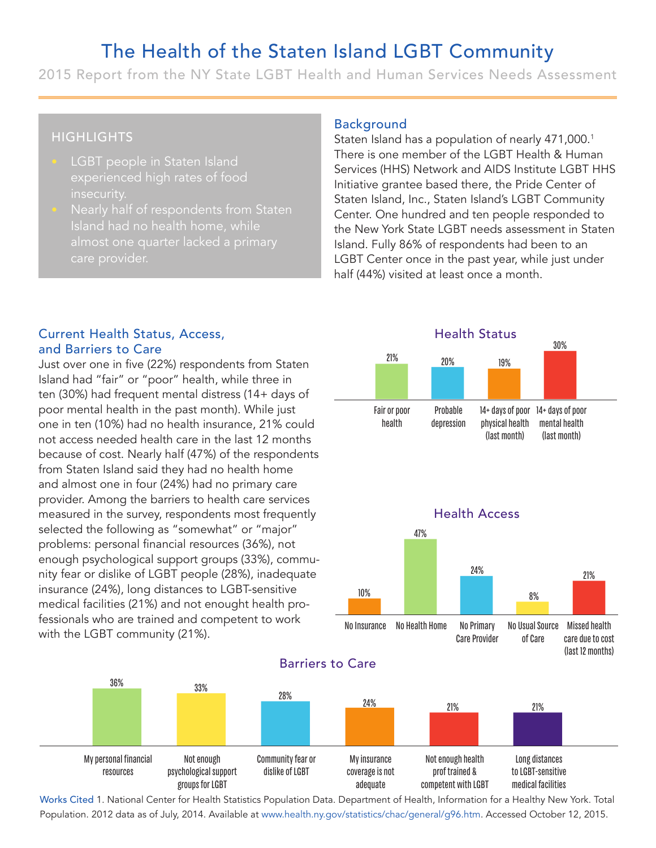# The Health of the Staten Island LGBT Community

2015 Report from the NY State LGBT Health and Human Services Needs Assessment

## **HIGHLIGHTS**

- **LGBT** people in Staten Island experienced high rates of food insecurity.
- Nearly half of respondents from Staten

#### Background

Staten Island has a population of nearly 471,000.<sup>1</sup> There is one member of the LGBT Health & Human Services (HHS) Network and AIDS Institute LGBT HHS Initiative grantee based there, the Pride Center of Staten Island, Inc., Staten Island's LGBT Community Center. One hundred and ten people responded to the New York State LGBT needs assessment in Staten Island. Fully 86% of respondents had been to an LGBT Center once in the past year, while just under half (44%) visited at least once a month. 22 **Example 1930**<br> **Example 120:** The UGBT Health & Human<br>
Mas a population of nearly 471,000.1<br>
Here based there, the Pride Center of<br>
Inc., Staten Island's LGBT Communit<br>
undred and ten people responded to<br>
State LGBT needs

Health Status

#### Current Health Status, Access, and Barriers to Care

Just over one in five (22%) respondents from Staten Island had "fair" or "poor" health, while three in ten (30%) had frequent mental distress (14+ days of poor mental health in the past month). While just one in ten (10%) had no health insurance, 21% could not access needed health care in the last 12 months because of cost. Nearly half (47%) of the respondents from Staten Island said they had no health home and almost one in four (24%) had no primary care provider. Among the barriers to health care services measured in the survey, respondents most frequently selected the following as "somewhat" or "major" problems: personal financial resources (36%), not enough psychological support groups (33%), community fear or dislike of LGBT people (28%), inadequate insurance (24%), long distances to LGBT-sensitive medical facilities (21%) and not enought health professionals who are trained and competent to work with the LGBT community (21%). Island nad no near<br>almost one quarte<br>care provider.<br>The care provider of the care<br>over one in five (22%)<br>and had "fair" or "poor"<br>(30%) had frequent me<br>or mental health in the<br>internal health in the<br>internal health in the<br> o nealth norne, while<br>plant norne, while<br>plant norne, while<br>the set of a prim<br>and the past month). When the past month). When the past month). When<br>the meadth care in the last 1<br>arly half (47%) of the raid they had no heal



Barriers to Care



Works Cited 1. National Center for Health Statistics Population Data. Department of Health, Information for a Healthy New York. Total Population. 2012 data as of July, 2014. Available at www.health.ny.gov/statistics/chac/general/g96.htm. Accessed October 12, 2015.